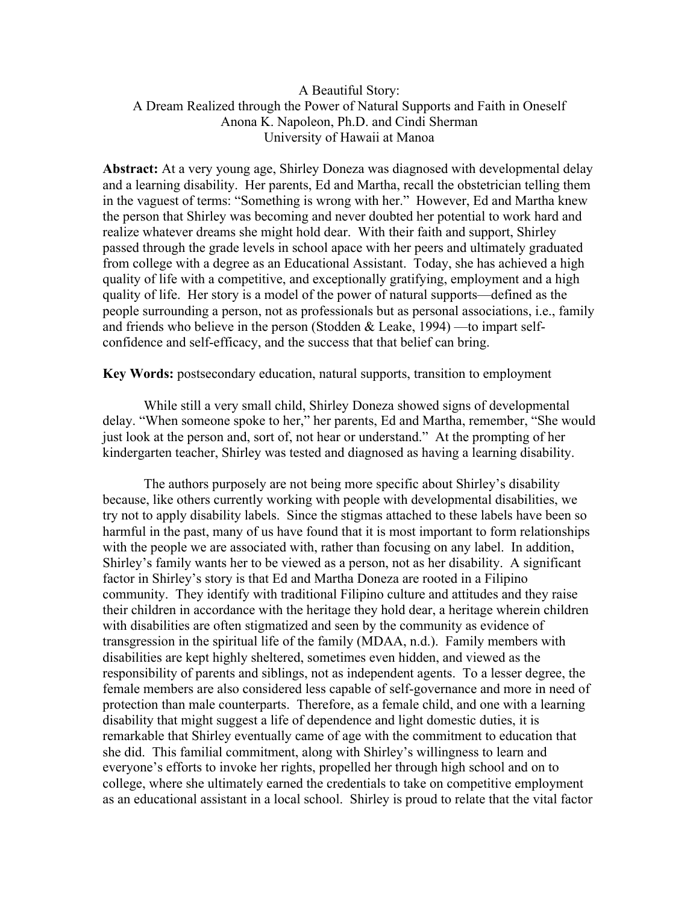## A Beautiful Story: A Dream Realized through the Power of Natural Supports and Faith in Oneself Anona K. Napoleon, Ph.D. and Cindi Sherman University of Hawaii at Manoa

**Abstract:** At a very young age, Shirley Doneza was diagnosed with developmental delay and a learning disability. Her parents, Ed and Martha, recall the obstetrician telling them in the vaguest of terms: "Something is wrong with her." However, Ed and Martha knew the person that Shirley was becoming and never doubted her potential to work hard and realize whatever dreams she might hold dear. With their faith and support, Shirley passed through the grade levels in school apace with her peers and ultimately graduated from college with a degree as an Educational Assistant. Today, she has achieved a high quality of life with a competitive, and exceptionally gratifying, employment and a high quality of life. Her story is a model of the power of natural supports—defined as the people surrounding a person, not as professionals but as personal associations, i.e., family and friends who believe in the person (Stodden & Leake, 1994) —to impart selfconfidence and self-efficacy, and the success that that belief can bring.

**Key Words:** postsecondary education, natural supports, transition to employment

While still a very small child, Shirley Doneza showed signs of developmental delay. "When someone spoke to her," her parents, Ed and Martha, remember, "She would just look at the person and, sort of, not hear or understand." At the prompting of her kindergarten teacher, Shirley was tested and diagnosed as having a learning disability.

The authors purposely are not being more specific about Shirley's disability because, like others currently working with people with developmental disabilities, we try not to apply disability labels. Since the stigmas attached to these labels have been so harmful in the past, many of us have found that it is most important to form relationships with the people we are associated with, rather than focusing on any label. In addition, Shirley's family wants her to be viewed as a person, not as her disability. A significant factor in Shirley's story is that Ed and Martha Doneza are rooted in a Filipino community. They identify with traditional Filipino culture and attitudes and they raise their children in accordance with the heritage they hold dear, a heritage wherein children with disabilities are often stigmatized and seen by the community as evidence of transgression in the spiritual life of the family (MDAA, n.d.). Family members with disabilities are kept highly sheltered, sometimes even hidden, and viewed as the responsibility of parents and siblings, not as independent agents. To a lesser degree, the female members are also considered less capable of self-governance and more in need of protection than male counterparts. Therefore, as a female child, and one with a learning disability that might suggest a life of dependence and light domestic duties, it is remarkable that Shirley eventually came of age with the commitment to education that she did. This familial commitment, along with Shirley's willingness to learn and everyone's efforts to invoke her rights, propelled her through high school and on to college, where she ultimately earned the credentials to take on competitive employment as an educational assistant in a local school. Shirley is proud to relate that the vital factor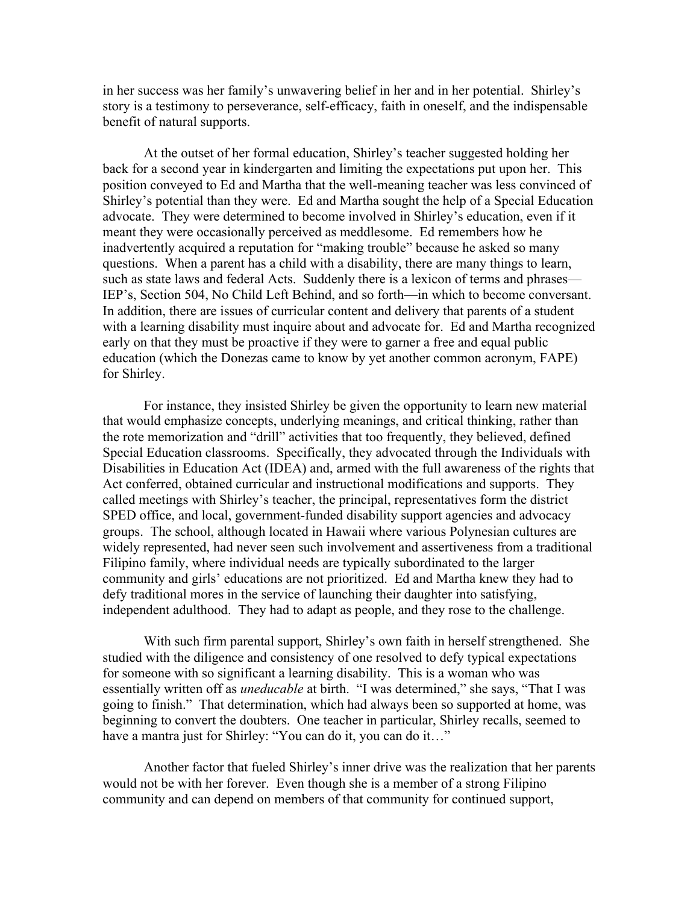in her success was her family's unwavering belief in her and in her potential. Shirley's story is a testimony to perseverance, self-efficacy, faith in oneself, and the indispensable benefit of natural supports.

At the outset of her formal education, Shirley's teacher suggested holding her back for a second year in kindergarten and limiting the expectations put upon her. This position conveyed to Ed and Martha that the well-meaning teacher was less convinced of Shirley's potential than they were. Ed and Martha sought the help of a Special Education advocate. They were determined to become involved in Shirley's education, even if it meant they were occasionally perceived as meddlesome. Ed remembers how he inadvertently acquired a reputation for "making trouble" because he asked so many questions. When a parent has a child with a disability, there are many things to learn, such as state laws and federal Acts. Suddenly there is a lexicon of terms and phrases— IEP's, Section 504, No Child Left Behind, and so forth—in which to become conversant. In addition, there are issues of curricular content and delivery that parents of a student with a learning disability must inquire about and advocate for. Ed and Martha recognized early on that they must be proactive if they were to garner a free and equal public education (which the Donezas came to know by yet another common acronym, FAPE) for Shirley.

For instance, they insisted Shirley be given the opportunity to learn new material that would emphasize concepts, underlying meanings, and critical thinking, rather than the rote memorization and "drill" activities that too frequently, they believed, defined Special Education classrooms. Specifically, they advocated through the Individuals with Disabilities in Education Act (IDEA) and, armed with the full awareness of the rights that Act conferred, obtained curricular and instructional modifications and supports. They called meetings with Shirley's teacher, the principal, representatives form the district SPED office, and local, government-funded disability support agencies and advocacy groups. The school, although located in Hawaii where various Polynesian cultures are widely represented, had never seen such involvement and assertiveness from a traditional Filipino family, where individual needs are typically subordinated to the larger community and girls' educations are not prioritized. Ed and Martha knew they had to defy traditional mores in the service of launching their daughter into satisfying, independent adulthood. They had to adapt as people, and they rose to the challenge.

With such firm parental support, Shirley's own faith in herself strengthened. She studied with the diligence and consistency of one resolved to defy typical expectations for someone with so significant a learning disability. This is a woman who was essentially written off as *uneducable* at birth. "I was determined," she says, "That I was going to finish." That determination, which had always been so supported at home, was beginning to convert the doubters. One teacher in particular, Shirley recalls, seemed to have a mantra just for Shirley: "You can do it, you can do it..."

Another factor that fueled Shirley's inner drive was the realization that her parents would not be with her forever. Even though she is a member of a strong Filipino community and can depend on members of that community for continued support,